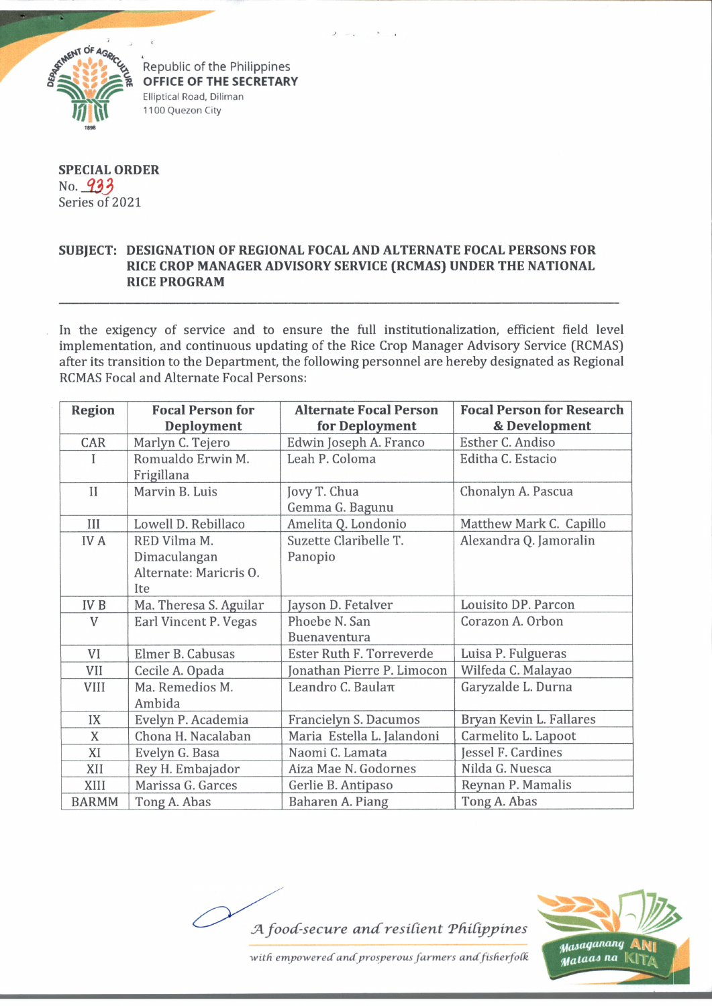

Republic of the Philippines **OFFICE OF THE SECRETARY** Elliptical Road, Dilirnan 1100 Quezon City

**SPECIAL ORDER** No. Series of 2021

## **SUBJECT: DESIGNATION OF REGIONAL FOCAL AND ALTERNATE FOCAL PERSONS FOR RICE CROP MANAGER ADVISORY SERVICE (RCMAS) UNDER THE NATIONAL RICE PROGRAM**

In the exigency of service and to ensure the full institutionalization, efficient field level implementation, and continuous updating of the Rice Crop Manager Advisory Service (RCMAS) after its transition to the Department, the following personnel are hereby designated as Regional RCMAS Focal and Alternate Focal Persons:

| <b>Region</b> | <b>Focal Person for</b>         | <b>Alternate Focal Person</b>   | <b>Focal Person for Research</b> |
|---------------|---------------------------------|---------------------------------|----------------------------------|
|               | Deployment                      | for Deployment                  | & Development                    |
| CAR           | Marlyn C. Tejero                | Edwin Joseph A. Franco          | Esther C. Andiso                 |
| I             | Romualdo Erwin M.<br>Frigillana | Leah P. Coloma                  | Editha C. Estacio                |
| $_{II}$       | Marvin B. Luis                  | Jovy T. Chua<br>Gemma G. Bagunu | Chonalyn A. Pascua               |
| Ш             | Lowell D. Rebillaco             | Amelita Q. Londonio             | Matthew Mark C. Capillo          |
| <b>IVA</b>    | RED Vilma M.                    | Suzette Claribelle T.           | Alexandra Q. Jamoralin           |
|               | Dimaculangan                    | Panopio                         |                                  |
|               | Alternate: Maricris O.          |                                 |                                  |
|               | Ite                             |                                 |                                  |
| IV B          | Ma. Theresa S. Aguilar          | Jayson D. Fetalver              | Louisito DP. Parcon              |
| V             | Earl Vincent P. Vegas           | Phoebe N. San                   | Corazon A. Orbon                 |
|               |                                 | Buenaventura                    |                                  |
| VI            | Elmer B. Cabusas                | Ester Ruth F. Torreverde        | Luisa P. Fulgueras               |
| VII           | Cecile A. Opada                 | Jonathan Pierre P. Limocon      | Wilfeda C. Malayao               |
| <b>VIII</b>   | Ma. Remedios M.<br>Ambida       | Leandro C. Baulaπ               | Garyzalde L. Durna               |
| IX            | Evelyn P. Academia              | Francielyn S. Dacumos           | Bryan Kevin L. Fallares          |
| X             | Chona H. Nacalaban              | Maria Estella L. Jalandoni      | Carmelito L. Lapoot              |
| XI            | Evelyn G. Basa                  | Naomi C. Lamata                 | Jessel F. Cardines               |
| XII           | Rey H. Embajador                | Aiza Mae N. Godornes            | Nilda G. Nuesca                  |
| XIII          | Marissa G. Garces               | Gerlie B. Antipaso              | Reynan P. Mamalis                |
| <b>BARMM</b>  | Tong A. Abas                    | Baharen A. Piang                | Tong A. Abas                     |





with empowered and prosperous farmers and fisherfolk